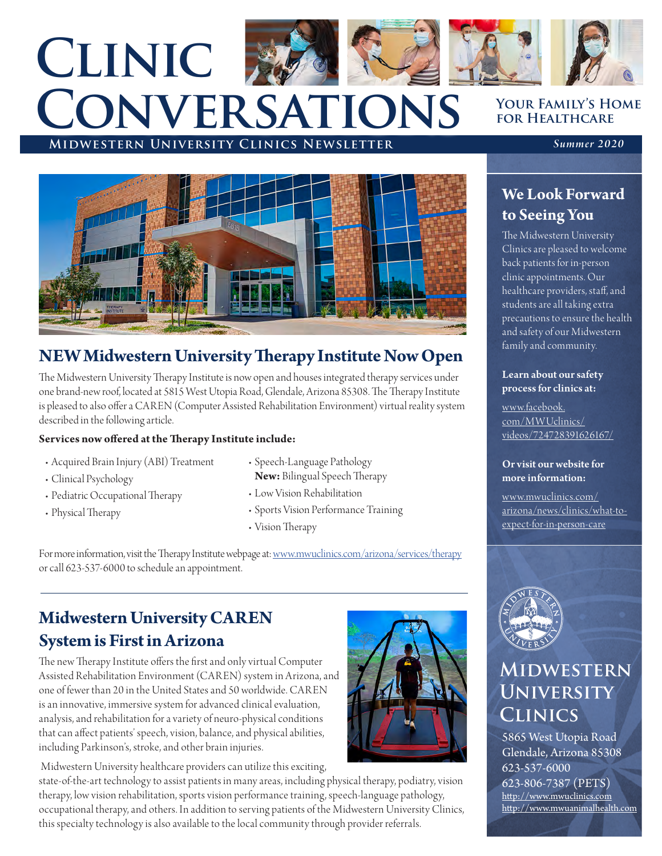# **Midwestern University Clinics Newsletter** *Summer 2020* **Clinic Conversations**



## **NEW Midwestern University Therapy Institute Now Open**

The Midwestern University Therapy Institute is now open and houses integrated therapy services under one brand-new roof, located at 5815 West Utopia Road, Glendale, Arizona 85308. The Therapy Institute is pleased to also offer a CAREN (Computer Assisted Rehabilitation Environment) virtual reality system described in the following article.

#### **Services now offered at the Therapy Institute include:**

- Acquired Brain Injury (ABI) Treatment
- Clinical Psychology
- Pediatric Occupational Therapy
- Physical Therapy
- Speech-Language Pathology **New:** Bilingual Speech Therapy
- Low Vision Rehabilitation
- Sports Vision Performance Training
- Vision Therapy

For more information, visit the Therapy Institute webpage at: [www.mwuclinics.com/arizona/services/therapy](http://www.mwuclinics.com/arizona/services/therapy) or call 623-537-6000 to schedule an appointment.

## **Midwestern University CAREN System is First in Arizona**

The new Therapy Institute offers the first and only virtual Computer Assisted Rehabilitation Environment (CAREN) system in Arizona, and one of fewer than 20 in the United States and 50 worldwide. CAREN is an innovative, immersive system for advanced clinical evaluation, analysis, and rehabilitation for a variety of neuro-physical conditions that can affect patients' speech, vision, balance, and physical abilities, including Parkinson's, stroke, and other brain injuries.

 Midwestern University healthcare providers can utilize this exciting, state-of-the-art technology to assist patients in many areas, including physical therapy, podiatry, vision therapy, low vision rehabilitation, sports vision performance training, speech-language pathology, occupational therapy, and others. In addition to serving patients of the Midwestern University Clinics, this specialty technology is also available to the local community through provider referrals.



### **Your Family's Home for Healthcare**

## **We Look Forward to Seeing You**

The Midwestern University Clinics are pleased to welcome back patients for in-person clinic appointments. Our healthcare providers, staff, and students are all taking extra precautions to ensure the health and safety of our Midwestern family and community.

#### Learn about our safety process for clinics at:

[www.facebook.](http://www.facebook.com/MWUclinics/videos/724728391626167/) [com/MWUclinics/](http://www.facebook.com/MWUclinics/videos/724728391626167/) [videos/724728391626167/](http://www.facebook.com/MWUclinics/videos/724728391626167/)

#### Or visit our website for more information:

[www.mwuclinics.com/](http://www.mwuclinics.com/arizona/news/clinics/what-to-expect-for-in-person-care) [arizona/news/clinics/what-to](http://www.mwuclinics.com/arizona/news/clinics/what-to-expect-for-in-person-care)[expect-for-in-person-care](http://www.mwuclinics.com/arizona/news/clinics/what-to-expect-for-in-person-care)



# **Midwestern University Clinics**

5865 West Utopia Road Glendale, Arizona 85308 623-537-6000 623-806-7387 (PETS) http://www.mwuclinics.com http://www.mwuanimalhealth[.com](http://www.mwuanimalhealth.)